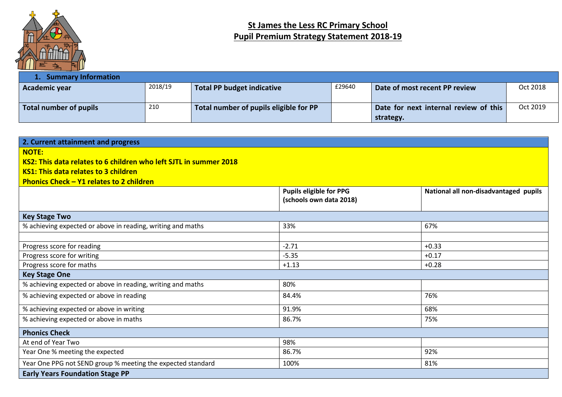

## **St James the Less RC Primary School Pupil Premium Strategy Statement 2018-19**

| <b>Summary Information</b> |         |                                        |        |                                                    |          |
|----------------------------|---------|----------------------------------------|--------|----------------------------------------------------|----------|
| Academic year              | 2018/19 | Total PP budget indicative             | £29640 | Date of most recent PP review                      | Oct 2018 |
| Total number of pupils     | 210     | Total number of pupils eligible for PP |        | Date for next internal review of this<br>strategy. | Oct 2019 |

| 2. Current attainment and progress<br><b>NOTE:</b><br>KS2: This data relates to 6 children who left SJTL in summer 2018<br>KS1: This data relates to 3 children<br><b>Phonics Check - Y1 relates to 2 children</b> |                                                           |                                       |
|--------------------------------------------------------------------------------------------------------------------------------------------------------------------------------------------------------------------|-----------------------------------------------------------|---------------------------------------|
|                                                                                                                                                                                                                    | <b>Pupils eligible for PPG</b><br>(schools own data 2018) | National all non-disadvantaged pupils |
| <b>Key Stage Two</b>                                                                                                                                                                                               |                                                           |                                       |
| % achieving expected or above in reading, writing and maths                                                                                                                                                        | 33%                                                       | 67%                                   |
| Progress score for reading                                                                                                                                                                                         | $-2.71$                                                   | $+0.33$                               |
| Progress score for writing                                                                                                                                                                                         | $-5.35$                                                   | $+0.17$                               |
| Progress score for maths                                                                                                                                                                                           | $+1.13$                                                   | $+0.28$                               |
| <b>Key Stage One</b>                                                                                                                                                                                               |                                                           |                                       |
| % achieving expected or above in reading, writing and maths                                                                                                                                                        | 80%                                                       |                                       |
| % achieving expected or above in reading                                                                                                                                                                           | 84.4%                                                     | 76%                                   |
| % achieving expected or above in writing                                                                                                                                                                           | 91.9%                                                     | 68%                                   |
| % achieving expected or above in maths                                                                                                                                                                             | 86.7%                                                     | 75%                                   |
| <b>Phonics Check</b>                                                                                                                                                                                               |                                                           |                                       |
| At end of Year Two                                                                                                                                                                                                 | 98%                                                       |                                       |
| Year One % meeting the expected                                                                                                                                                                                    | 86.7%                                                     | 92%                                   |
| Year One PPG not SEND group % meeting the expected standard                                                                                                                                                        | 100%                                                      | 81%                                   |
| <b>Early Years Foundation Stage PP</b>                                                                                                                                                                             |                                                           |                                       |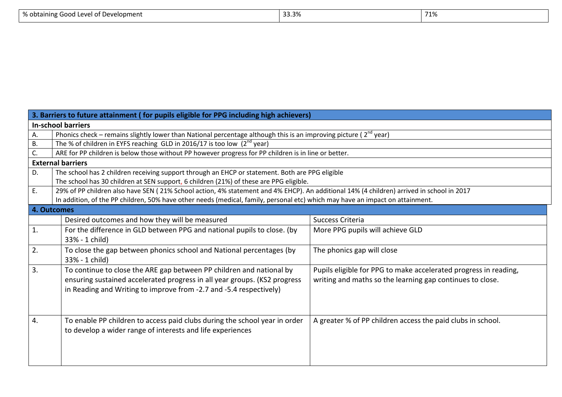| % obtaining<br>t of Development.<br>wie Good Level of D<br>. . | 33.3% | 71%<br>⁄⊥⁄\ |
|----------------------------------------------------------------|-------|-------------|
|                                                                |       |             |

|             | 3. Barriers to future attainment (for pupils eligible for PPG including high achievers)                                                  |                                                                  |  |  |  |  |  |  |  |  |
|-------------|------------------------------------------------------------------------------------------------------------------------------------------|------------------------------------------------------------------|--|--|--|--|--|--|--|--|
|             | <b>In-school barriers</b>                                                                                                                |                                                                  |  |  |  |  |  |  |  |  |
| Α.          | Phonics check – remains slightly lower than National percentage although this is an improving picture ( $2^{nd}$ year)                   |                                                                  |  |  |  |  |  |  |  |  |
| В.          | The % of children in EYFS reaching GLD in 2016/17 is too low $(2^{nd}$ year)                                                             |                                                                  |  |  |  |  |  |  |  |  |
| C.          | ARE for PP children is below those without PP however progress for PP children is in line or better.                                     |                                                                  |  |  |  |  |  |  |  |  |
|             | <b>External barriers</b>                                                                                                                 |                                                                  |  |  |  |  |  |  |  |  |
| D.          | The school has 2 children receiving support through an EHCP or statement. Both are PPG eligible                                          |                                                                  |  |  |  |  |  |  |  |  |
|             | The school has 30 children at SEN support, 6 children (21%) of these are PPG eligible.                                                   |                                                                  |  |  |  |  |  |  |  |  |
| E.          | 29% of PP children also have SEN (21% School action, 4% statement and 4% EHCP). An additional 14% (4 children) arrived in school in 2017 |                                                                  |  |  |  |  |  |  |  |  |
|             | In addition, of the PP children, 50% have other needs (medical, family, personal etc) which may have an impact on attainment.            |                                                                  |  |  |  |  |  |  |  |  |
| 4. Outcomes |                                                                                                                                          |                                                                  |  |  |  |  |  |  |  |  |
|             | Desired outcomes and how they will be measured                                                                                           | Success Criteria                                                 |  |  |  |  |  |  |  |  |
| 1.          | For the difference in GLD between PPG and national pupils to close. (by                                                                  | More PPG pupils will achieve GLD                                 |  |  |  |  |  |  |  |  |
|             | 33% - 1 child)                                                                                                                           |                                                                  |  |  |  |  |  |  |  |  |
| 2.          | To close the gap between phonics school and National percentages (by                                                                     | The phonics gap will close                                       |  |  |  |  |  |  |  |  |
|             | 33% - 1 child)                                                                                                                           |                                                                  |  |  |  |  |  |  |  |  |
| 3.          | To continue to close the ARE gap between PP children and national by                                                                     | Pupils eligible for PPG to make accelerated progress in reading, |  |  |  |  |  |  |  |  |
|             | ensuring sustained accelerated progress in all year groups. (KS2 progress                                                                | writing and maths so the learning gap continues to close.        |  |  |  |  |  |  |  |  |
|             | in Reading and Writing to improve from -2.7 and -5.4 respectively)                                                                       |                                                                  |  |  |  |  |  |  |  |  |
|             |                                                                                                                                          |                                                                  |  |  |  |  |  |  |  |  |
|             |                                                                                                                                          |                                                                  |  |  |  |  |  |  |  |  |
| 4.          | To enable PP children to access paid clubs during the school year in order                                                               | A greater % of PP children access the paid clubs in school.      |  |  |  |  |  |  |  |  |
|             | to develop a wider range of interests and life experiences                                                                               |                                                                  |  |  |  |  |  |  |  |  |
|             |                                                                                                                                          |                                                                  |  |  |  |  |  |  |  |  |
|             |                                                                                                                                          |                                                                  |  |  |  |  |  |  |  |  |
|             |                                                                                                                                          |                                                                  |  |  |  |  |  |  |  |  |
|             |                                                                                                                                          |                                                                  |  |  |  |  |  |  |  |  |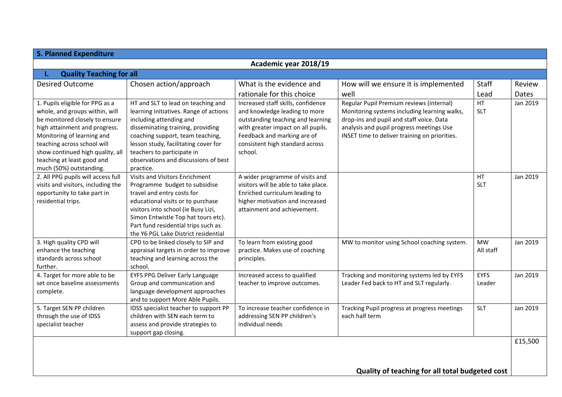| <b>5. Planned Expenditure</b>                                                                                                                                                                                                                                                                  |                                                                                                                                                                                                                                                                                                             |                                                                                                                                                                                                                             |                                                                                                                                                                                                                                   |                         |          |  |  |  |  |
|------------------------------------------------------------------------------------------------------------------------------------------------------------------------------------------------------------------------------------------------------------------------------------------------|-------------------------------------------------------------------------------------------------------------------------------------------------------------------------------------------------------------------------------------------------------------------------------------------------------------|-----------------------------------------------------------------------------------------------------------------------------------------------------------------------------------------------------------------------------|-----------------------------------------------------------------------------------------------------------------------------------------------------------------------------------------------------------------------------------|-------------------------|----------|--|--|--|--|
| Academic year 2018/19                                                                                                                                                                                                                                                                          |                                                                                                                                                                                                                                                                                                             |                                                                                                                                                                                                                             |                                                                                                                                                                                                                                   |                         |          |  |  |  |  |
| <b>Quality Teaching for all</b><br>ι.                                                                                                                                                                                                                                                          |                                                                                                                                                                                                                                                                                                             |                                                                                                                                                                                                                             |                                                                                                                                                                                                                                   |                         |          |  |  |  |  |
| <b>Desired Outcome</b>                                                                                                                                                                                                                                                                         | Chosen action/approach                                                                                                                                                                                                                                                                                      | What is the evidence and                                                                                                                                                                                                    | How will we ensure it is implemented                                                                                                                                                                                              | Staff                   | Review   |  |  |  |  |
|                                                                                                                                                                                                                                                                                                |                                                                                                                                                                                                                                                                                                             | rationale for this choice                                                                                                                                                                                                   | well                                                                                                                                                                                                                              | Lead                    | Dates    |  |  |  |  |
| 1. Pupils eligible for PPG as a<br>whole, and groups within, will<br>be monitored closely to ensure<br>high attainment and progress.<br>Monitoring of learning and<br>teaching across school will<br>show continued high quality, all<br>teaching at least good and<br>much (50%) outstanding. | HT and SLT to lead on teaching and<br>learning initiatives. Range of actions<br>including attending and<br>disseminating training, providing<br>coaching support, team teaching,<br>lesson study, facilitating cover for<br>teachers to participate in<br>observations and discussions of best<br>practice. | Increased staff skills, confidence<br>and knowledge leading to more<br>outstanding teaching and learning<br>with greater impact on all pupils.<br>Feedback and marking are of<br>consistent high standard across<br>school. | Regular Pupil Premium reviews (internal)<br>Monitoring systems including learning walks,<br>drop-ins and pupil and staff voice. Data<br>analysis and pupil progress meetings Use<br>INSET time to deliver training on priorities. | <b>HT</b><br><b>SLT</b> | Jan 2019 |  |  |  |  |
| 2. All PPG pupils will access full<br>visits and visitors, including the<br>opportunity to take part in<br>residential trips.                                                                                                                                                                  | Visits and Visitors Enrichment<br>Programme budget to subsidise<br>travel and entry costs for<br>educational visits or to purchase<br>visitors into school (ie Busy Lizi,<br>Simon Entwistle Top hat tours etc).<br>Part fund residential trips such as<br>the Y6 PGL Lake District residential             | A wider programme of visits and<br>visitors will be able to take place.<br>Enriched curriculum leading to<br>higher motivation and increased<br>attainment and achievement.                                                 |                                                                                                                                                                                                                                   | HT<br><b>SLT</b>        | Jan 2019 |  |  |  |  |
| 3. High quality CPD will<br>enhance the teaching<br>standards across school<br>further.                                                                                                                                                                                                        | CPD to be linked closely to SIP and<br>appraisal targets in order to improve<br>teaching and learning across the<br>school.                                                                                                                                                                                 | To learn from existing good<br>practice. Makes use of coaching<br>principles.                                                                                                                                               | MW to monitor using School coaching system.                                                                                                                                                                                       | <b>MW</b><br>All staff  | Jan 2019 |  |  |  |  |
| 4. Target for more able to be<br>set once baseline assessments<br>complete.                                                                                                                                                                                                                    | EYFS PPG Deliver Early Language<br>Group and communication and<br>language development approaches<br>and to support More Able Pupils.                                                                                                                                                                       | Increased access to qualified<br>teacher to improve outcomes.                                                                                                                                                               | Tracking and monitoring systems led by EYFS<br>Leader Fed back to HT and SLT regularly.                                                                                                                                           | <b>EYFS</b><br>Leader   | Jan 2019 |  |  |  |  |
| 5. Target SEN PP children<br>through the use of IDSS<br>specialist teacher                                                                                                                                                                                                                     | IDSS specialist teacher to support PP<br>children with SEN each term to<br>assess and provide strategies to<br>support gap closing.                                                                                                                                                                         | To increase teacher confidence in<br>addressing SEN PP children's<br>individual needs                                                                                                                                       | Tracking Pupil progress at progress meetings<br>each half term                                                                                                                                                                    | <b>SLT</b>              | Jan 2019 |  |  |  |  |
| £15,500<br>Quality of teaching for all total budgeted cost                                                                                                                                                                                                                                     |                                                                                                                                                                                                                                                                                                             |                                                                                                                                                                                                                             |                                                                                                                                                                                                                                   |                         |          |  |  |  |  |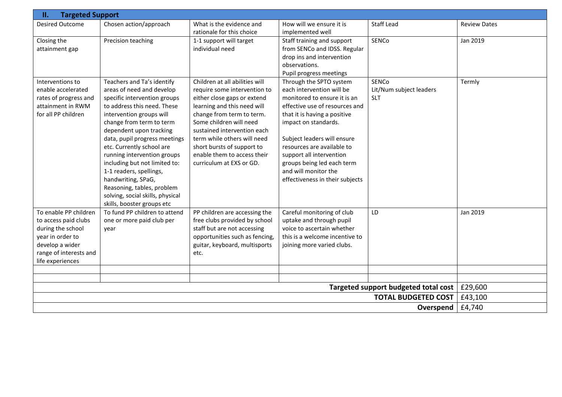| <b>Targeted Support</b><br>П.                                                                                                                           |                                                                                                                                                                                                                                                                                                                                                                                                                                                                                          |                                                                                                                                                                                                                                                                                                                                             |                                                                                                                                                                                                                                                                                                                                                                  |                                                |                     |  |  |  |  |  |
|---------------------------------------------------------------------------------------------------------------------------------------------------------|------------------------------------------------------------------------------------------------------------------------------------------------------------------------------------------------------------------------------------------------------------------------------------------------------------------------------------------------------------------------------------------------------------------------------------------------------------------------------------------|---------------------------------------------------------------------------------------------------------------------------------------------------------------------------------------------------------------------------------------------------------------------------------------------------------------------------------------------|------------------------------------------------------------------------------------------------------------------------------------------------------------------------------------------------------------------------------------------------------------------------------------------------------------------------------------------------------------------|------------------------------------------------|---------------------|--|--|--|--|--|
| <b>Desired Outcome</b>                                                                                                                                  | Chosen action/approach                                                                                                                                                                                                                                                                                                                                                                                                                                                                   | What is the evidence and<br>rationale for this choice                                                                                                                                                                                                                                                                                       | How will we ensure it is<br>implemented well                                                                                                                                                                                                                                                                                                                     | <b>Staff Lead</b>                              | <b>Review Dates</b> |  |  |  |  |  |
| Closing the<br>attainment gap                                                                                                                           | Precision teaching                                                                                                                                                                                                                                                                                                                                                                                                                                                                       | 1-1 support will target<br>individual need                                                                                                                                                                                                                                                                                                  | Staff training and support<br>from SENCo and IDSS. Regular<br>drop ins and intervention<br>observations.<br>Pupil progress meetings                                                                                                                                                                                                                              | SENCo                                          | Jan 2019            |  |  |  |  |  |
| Interventions to<br>enable accelerated<br>rates of progress and<br>attainment in RWM<br>for all PP children                                             | Teachers and Ta's identify<br>areas of need and develop<br>specific intervention groups<br>to address this need. These<br>intervention groups will<br>change from term to term<br>dependent upon tracking<br>data, pupil progress meetings<br>etc. Currently school are<br>running intervention groups<br>including but not limited to:<br>1-1 readers, spellings,<br>handwriting, SPaG,<br>Reasoning, tables, problem<br>solving, social skills, physical<br>skills, booster groups etc | Children at all abilities will<br>require some intervention to<br>either close gaps or extend<br>learning and this need will<br>change from term to term.<br>Some children will need<br>sustained intervention each<br>term while others will need<br>short bursts of support to<br>enable them to access their<br>curriculum at EXS or GD. | Through the SPTO system<br>each intervention will be<br>monitored to ensure it is an<br>effective use of resources and<br>that it is having a positive<br>impact on standards.<br>Subject leaders will ensure<br>resources are available to<br>support all intervention<br>groups being led each term<br>and will monitor the<br>effectiveness in their subjects | SENCo<br>Lit/Num subject leaders<br><b>SLT</b> | Termly              |  |  |  |  |  |
| To enable PP children<br>to access paid clubs<br>during the school<br>year in order to<br>develop a wider<br>range of interests and<br>life experiences | To fund PP children to attend<br>one or more paid club per<br>year                                                                                                                                                                                                                                                                                                                                                                                                                       | PP children are accessing the<br>free clubs provided by school<br>staff but are not accessing<br>opportunities such as fencing,<br>guitar, keyboard, multisports<br>etc.                                                                                                                                                                    | Careful monitoring of club<br>uptake and through pupil<br>voice to ascertain whether<br>this is a welcome incentive to<br>joining more varied clubs.                                                                                                                                                                                                             | LD                                             | Jan 2019            |  |  |  |  |  |
|                                                                                                                                                         |                                                                                                                                                                                                                                                                                                                                                                                                                                                                                          |                                                                                                                                                                                                                                                                                                                                             |                                                                                                                                                                                                                                                                                                                                                                  |                                                |                     |  |  |  |  |  |
|                                                                                                                                                         |                                                                                                                                                                                                                                                                                                                                                                                                                                                                                          |                                                                                                                                                                                                                                                                                                                                             |                                                                                                                                                                                                                                                                                                                                                                  | Targeted support budgeted total cost           | £29,600             |  |  |  |  |  |
|                                                                                                                                                         |                                                                                                                                                                                                                                                                                                                                                                                                                                                                                          |                                                                                                                                                                                                                                                                                                                                             |                                                                                                                                                                                                                                                                                                                                                                  | <b>TOTAL BUDGETED COST</b>                     | £43,100             |  |  |  |  |  |
|                                                                                                                                                         |                                                                                                                                                                                                                                                                                                                                                                                                                                                                                          |                                                                                                                                                                                                                                                                                                                                             |                                                                                                                                                                                                                                                                                                                                                                  | Overspend                                      | £4,740              |  |  |  |  |  |